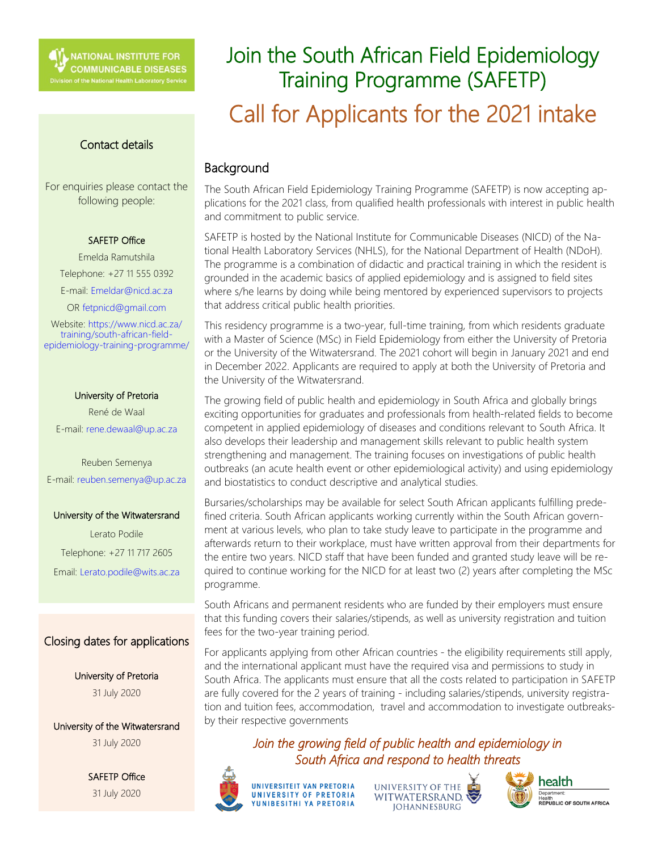## Contact details

For enquiries please contact the following people:

#### SAFETP Office

Emelda Ramutshila Telephone: +27 11 555 0392 E-mail: Emeldar@nicd.ac.za OR fetpnicd@gmail.com

Website: https://www.nicd.ac.za/ training/south-african-fieldepidemiology-training-programme/

#### University of Pretoria

René de Waal E-mail: rene.dewaal@up.ac.za

Reuben Semenya E-mail: reuben.semenya@up.ac.za

#### University of the Witwatersrand

Lerato Podile Telephone: +27 11 717 2605 Email: Lerato.podile@wits.ac.za

# Closing dates for applications

University of Pretoria 31 July 2020

University of the Witwatersrand 31 July 2020

> SAFETP Office 31 July 2020

# Join the South African Field Epidemiology Training Programme (SAFETP) Call for Applicants for the 2021 intake

# Background

The South African Field Epidemiology Training Programme (SAFETP) is now accepting applications for the 2021 class, from qualified health professionals with interest in public health and commitment to public service.

SAFETP is hosted by the National Institute for Communicable Diseases (NICD) of the National Health Laboratory Services (NHLS), for the National Department of Health (NDoH). The programme is a combination of didactic and practical training in which the resident is grounded in the academic basics of applied epidemiology and is assigned to field sites where s/he learns by doing while being mentored by experienced supervisors to projects that address critical public health priorities.

This residency programme is a two-year, full-time training, from which residents graduate with a Master of Science (MSc) in Field Epidemiology from either the University of Pretoria or the University of the Witwatersrand. The 2021 cohort will begin in January 2021 and end in December 2022. Applicants are required to apply at both the University of Pretoria and the University of the Witwatersrand.

The growing field of public health and epidemiology in South Africa and globally brings exciting opportunities for graduates and professionals from health-related fields to become competent in applied epidemiology of diseases and conditions relevant to South Africa. It also develops their leadership and management skills relevant to public health system strengthening and management. The training focuses on investigations of public health outbreaks (an acute health event or other epidemiological activity) and using epidemiology and biostatistics to conduct descriptive and analytical studies.

Bursaries/scholarships may be available for select South African applicants fulfilling predefined criteria. South African applicants working currently within the South African government at various levels, who plan to take study leave to participate in the programme and afterwards return to their workplace, must have written approval from their departments for the entire two years. NICD staff that have been funded and granted study leave will be required to continue working for the NICD for at least two (2) years after completing the MSc programme.

South Africans and permanent residents who are funded by their employers must ensure that this funding covers their salaries/stipends, as well as university registration and tuition fees for the two-year training period.

For applicants applying from other African countries - the eligibility requirements still apply, and the international applicant must have the required visa and permissions to study in South Africa. The applicants must ensure that all the costs related to participation in SAFETP are fully covered for the 2 years of training - including salaries/stipends, university registration and tuition fees, accommodation, travel and accommodation to investigate outbreaksby their respective governments

*Join the growing field of public health and epidemiology in South Africa and respond to health threats*



UNIVERSITY OF THE WITWATERSRAND. **JOHANNESBURG** 



health Health<br>**REPUBLIC OF SOUTH AFRICA**